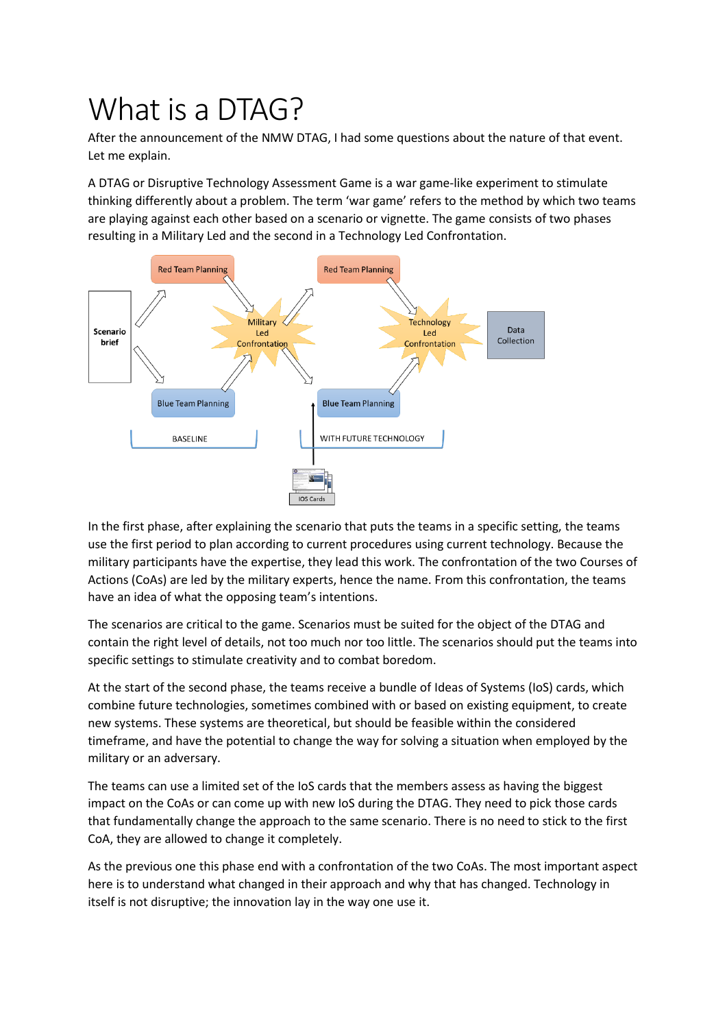## What is a DTAG?

After the announcement of the NMW DTAG, I had some questions about the nature of that event. Let me explain.

A DTAG or Disruptive Technology Assessment Game is a war game-like experiment to stimulate thinking differently about a problem. The term 'war game' refers to the method by which two teams are playing against each other based on a scenario or vignette. The game consists of two phases resulting in a Military Led and the second in a Technology Led Confrontation.



In the first phase, after explaining the scenario that puts the teams in a specific setting, the teams use the first period to plan according to current procedures using current technology. Because the military participants have the expertise, they lead this work. The confrontation of the two Courses of Actions (CoAs) are led by the military experts, hence the name. From this confrontation, the teams have an idea of what the opposing team's intentions.

The scenarios are critical to the game. Scenarios must be suited for the object of the DTAG and contain the right level of details, not too much nor too little. The scenarios should put the teams into specific settings to stimulate creativity and to combat boredom.

At the start of the second phase, the teams receive a bundle of Ideas of Systems (IoS) cards, which combine future technologies, sometimes combined with or based on existing equipment, to create new systems. These systems are theoretical, but should be feasible within the considered timeframe, and have the potential to change the way for solving a situation when employed by the military or an adversary.

The teams can use a limited set of the IoS cards that the members assess as having the biggest impact on the CoAs or can come up with new IoS during the DTAG. They need to pick those cards that fundamentally change the approach to the same scenario. There is no need to stick to the first CoA, they are allowed to change it completely.

As the previous one this phase end with a confrontation of the two CoAs. The most important aspect here is to understand what changed in their approach and why that has changed. Technology in itself is not disruptive; the innovation lay in the way one use it.